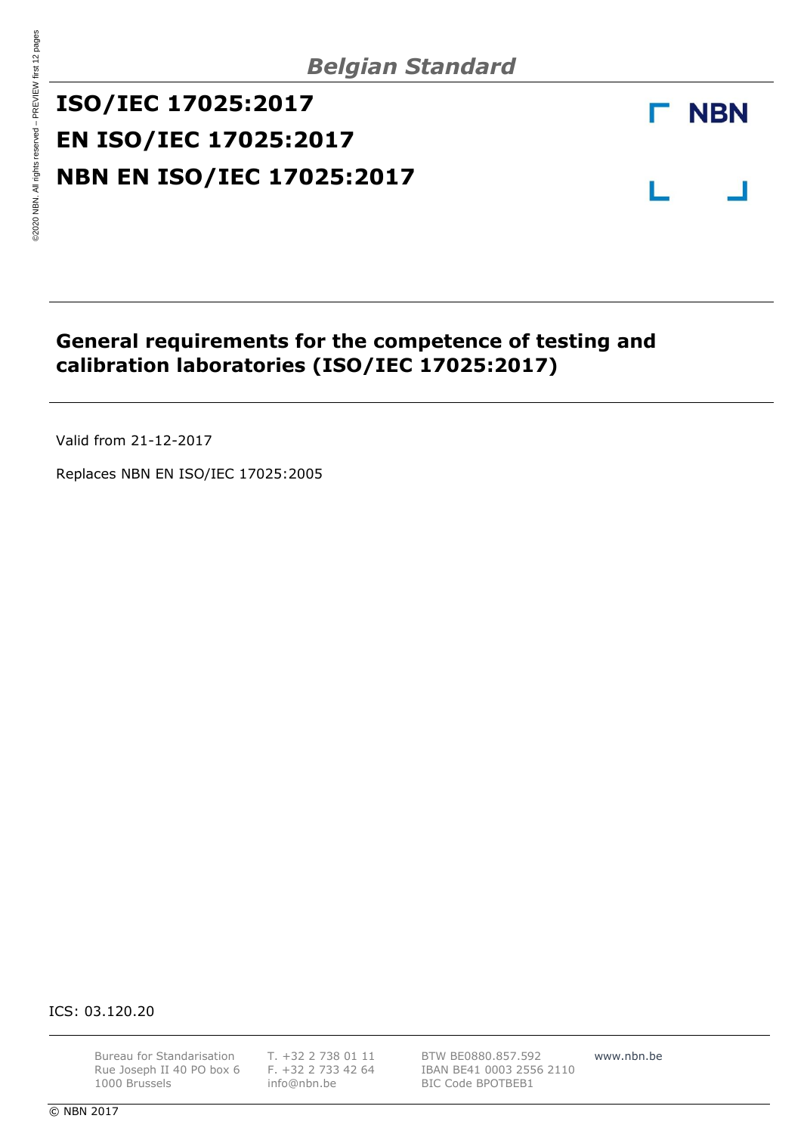**ISO/IEC 17025:2017 EN ISO/IEC 17025:2017 NBN EN ISO/IEC 17025:2017**

**NBN** 

### **General requirements for the competence of testing and calibration laboratories (ISO/IEC 17025:2017)**

Valid from 21-12-2017

Replaces NBN EN ISO/IEC 17025:2005

#### ICS: 03.120.20

Bureau for Standarisation Rue Joseph II 40 PO box 6 1000 Brussels

T. +32 2 738 01 11 F. +32 2 733 42 64 [info@nbn.be](mailto:info@nbn.be)

BTW BE0880.857.592 IBAN BE41 0003 2556 2110 BIC Code BPOTBEB1

www.nbn.be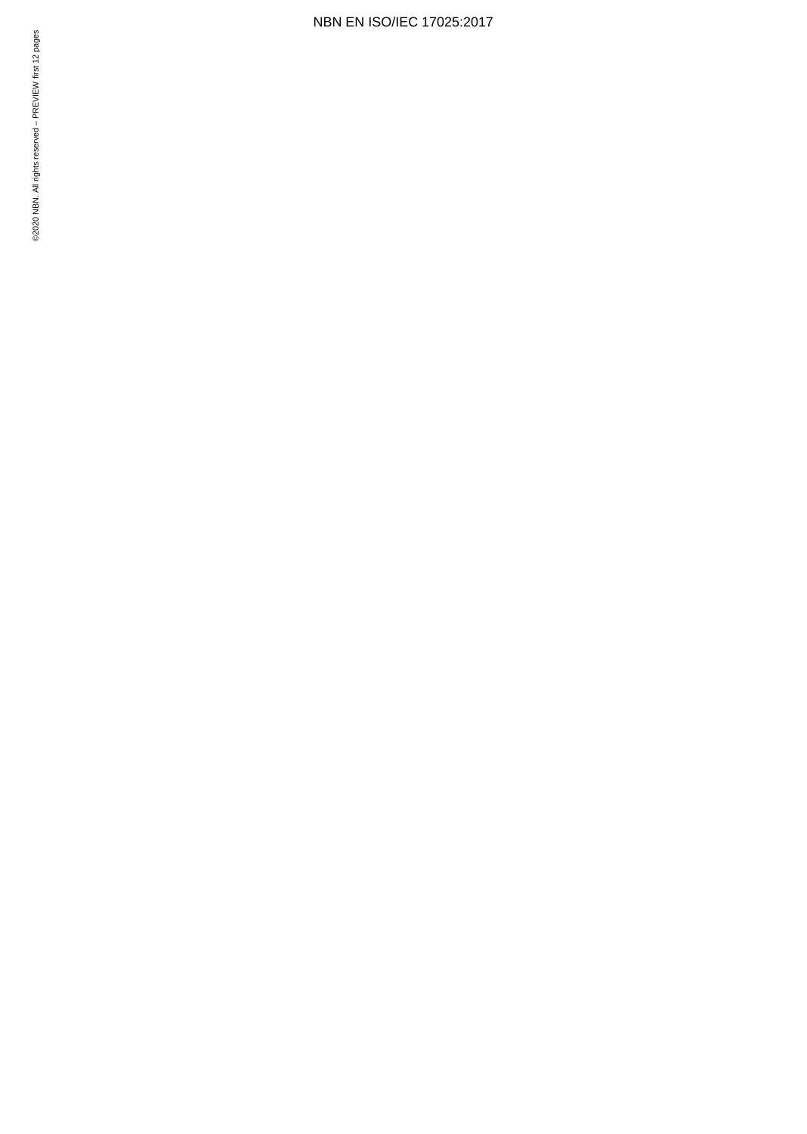NBN EN ISO/IEC 17025:2017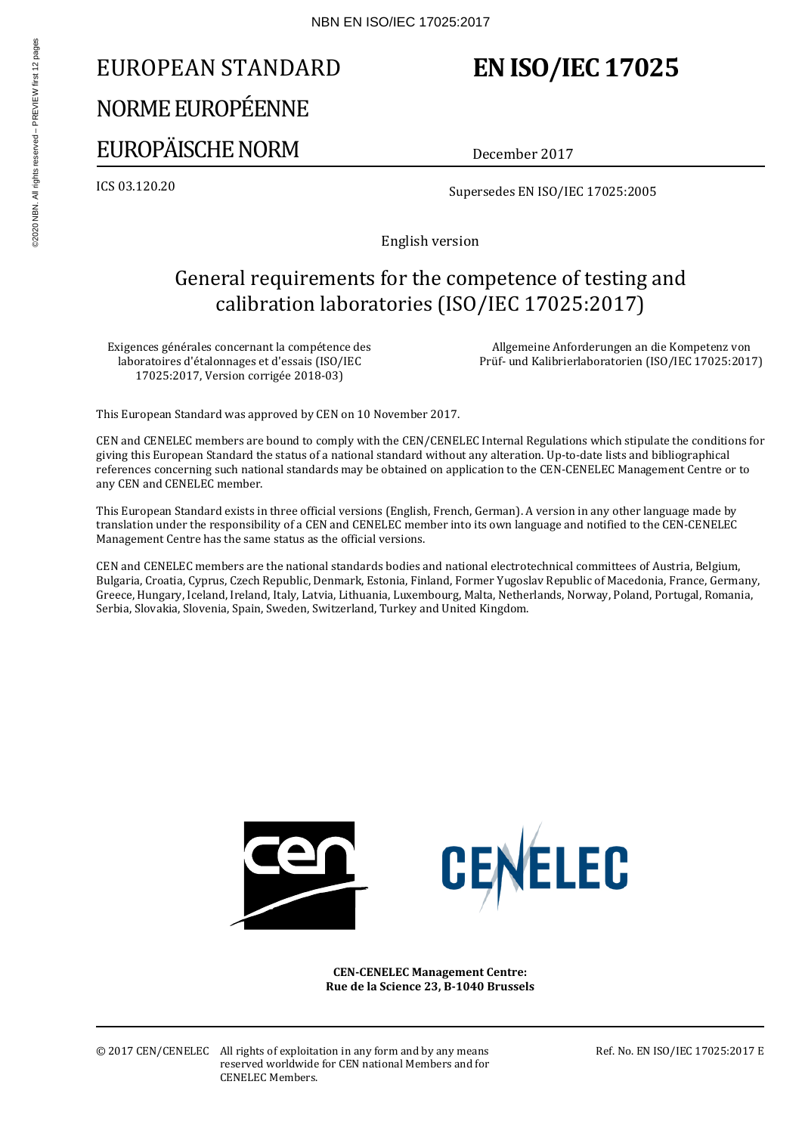# EUROPEAN STANDARD NORME EUROPÉENNE EUROPÄISCHE NORM

# **EN ISO/IEC 17025**

December 2017

ICS 03.120.20 Supersedes EN ISO/IEC 17025:2005

English version

## General requirements for the competence of testing and calibration laboratories (ISO/IEC 17025:2017)

Exigences générales concernant la compétence des laboratoires d'étalonnages et d'essais (ISO/IEC 17025:2017, Version corrigée 2018-03)

 Allgemeine Anforderungen an die Kompetenz von Prüf- und Kalibrierlaboratorien (ISO/IEC 17025:2017)

This European Standard was approved by CEN on 10 November 2017.

CEN and CENELEC members are bound to comply with the CEN/CENELEC Internal Regulations which stipulate the conditions for giving this European Standard the status of a national standard without any alteration. Up-to-date lists and bibliographical references concerning such national standards may be obtained on application to the CEN-CENELEC Management Centre or to any CEN and CENELEC member.

This European Standard exists in three official versions (English, French, German). A version in any other language made by translation under the responsibility of a CEN and CENELEC member into its own language and notified to the CEN-CENELEC Management Centre has the same status as the official versions.

CEN and CENELEC members are the national standards bodies and national electrotechnical committees of Austria, Belgium, Bulgaria, Croatia, Cyprus, Czech Republic, Denmark, Estonia, Finland, Former Yugoslav Republic of Macedonia, France, Germany, Greece, Hungary, Iceland, Ireland, Italy, Latvia, Lithuania, Luxembourg, Malta, Netherlands, Norway, Poland, Portugal, Romania, Serbia, Slovakia, Slovenia, Spain, Sweden, Switzerland, Turkey and United Kingdom.





**CEN-CENELEC Management Centre: Rue de la Science 23, B-1040 Brussels** 

© 2017 CEN/CENELEC All rights of exploitation in any form and by any means reserved worldwide for CEN national Members and for CENELEC Members.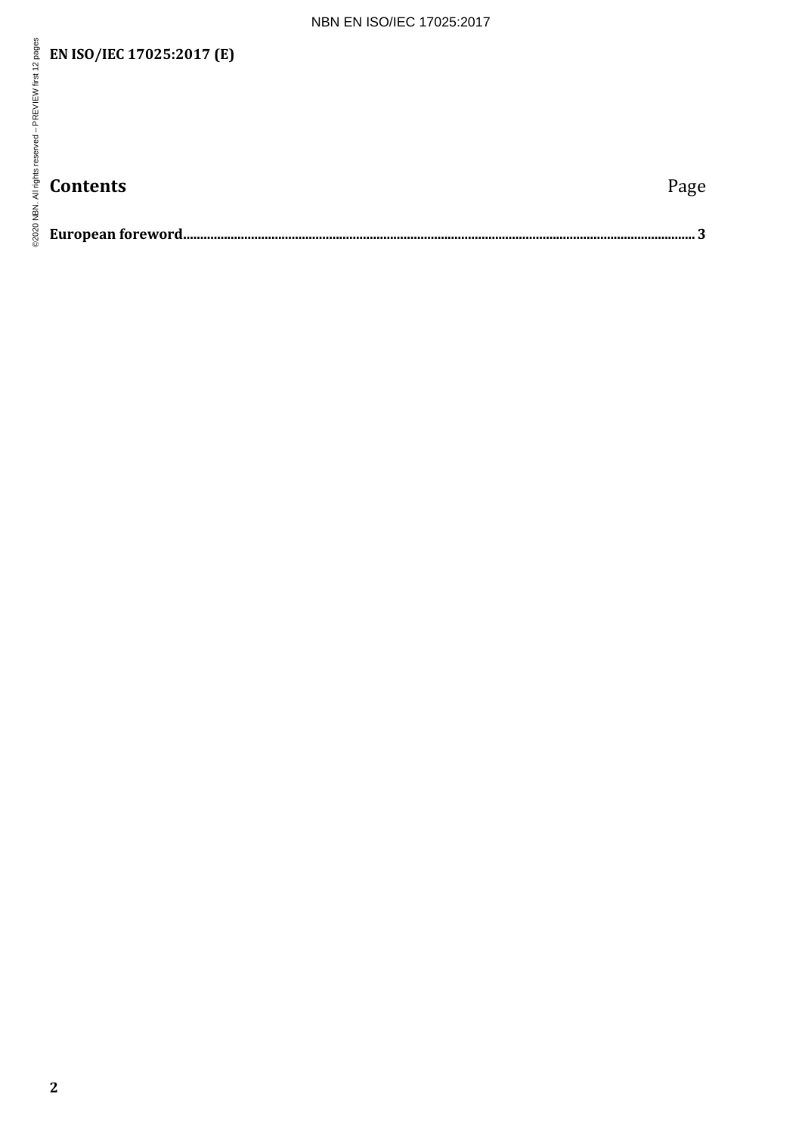#### NBN EN ISO/IEC 17025:2017

## **EN ISO/IEC 17025:2017 (E)**

## **Contents** Page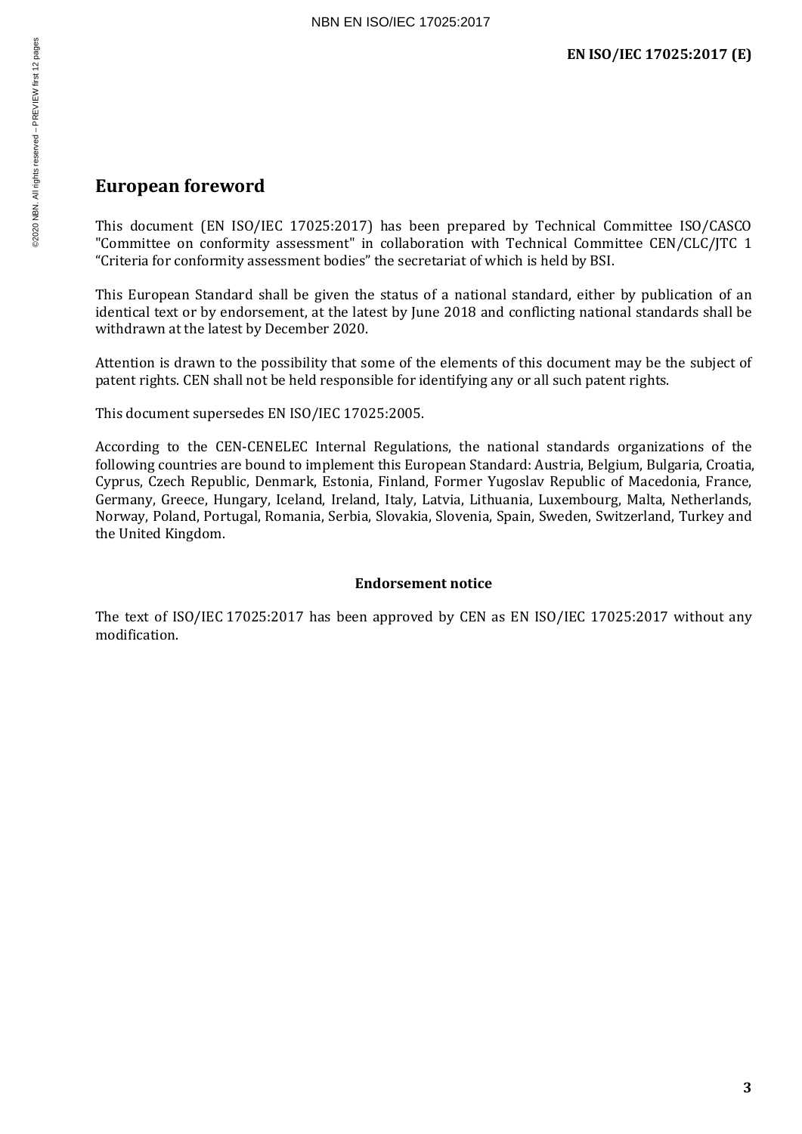#### **European foreword**

This document (EN ISO/IEC 17025:2017) has been prepared by Technical Committee ISO/CASCO "Committee on conformity assessment" in collaboration with Technical Committee CEN/CLC/JTC 1 "Criteria for conformity assessment bodies" the secretariat of which is held by BSI.

This European Standard shall be given the status of a national standard, either by publication of an identical text or by endorsement, at the latest by June 2018 and conflicting national standards shall be withdrawn at the latest by December 2020.

Attention is drawn to the possibility that some of the elements of this document may be the subject of patent rights. CEN shall not be held responsible for identifying any or all such patent rights.

This document supersedes EN ISO/IEC 17025:2005.

According to the CEN-CENELEC Internal Regulations, the national standards organizations of the following countries are bound to implement this European Standard: Austria, Belgium, Bulgaria, Croatia, Cyprus, Czech Republic, Denmark, Estonia, Finland, Former Yugoslav Republic of Macedonia, France, Germany, Greece, Hungary, Iceland, Ireland, Italy, Latvia, Lithuania, Luxembourg, Malta, Netherlands, Norway, Poland, Portugal, Romania, Serbia, Slovakia, Slovenia, Spain, Sweden, Switzerland, Turkey and the United Kingdom.

#### **Endorsement notice**

The text of ISO/IEC 17025:2017 has been approved by CEN as EN ISO/IEC 17025:2017 without any modification.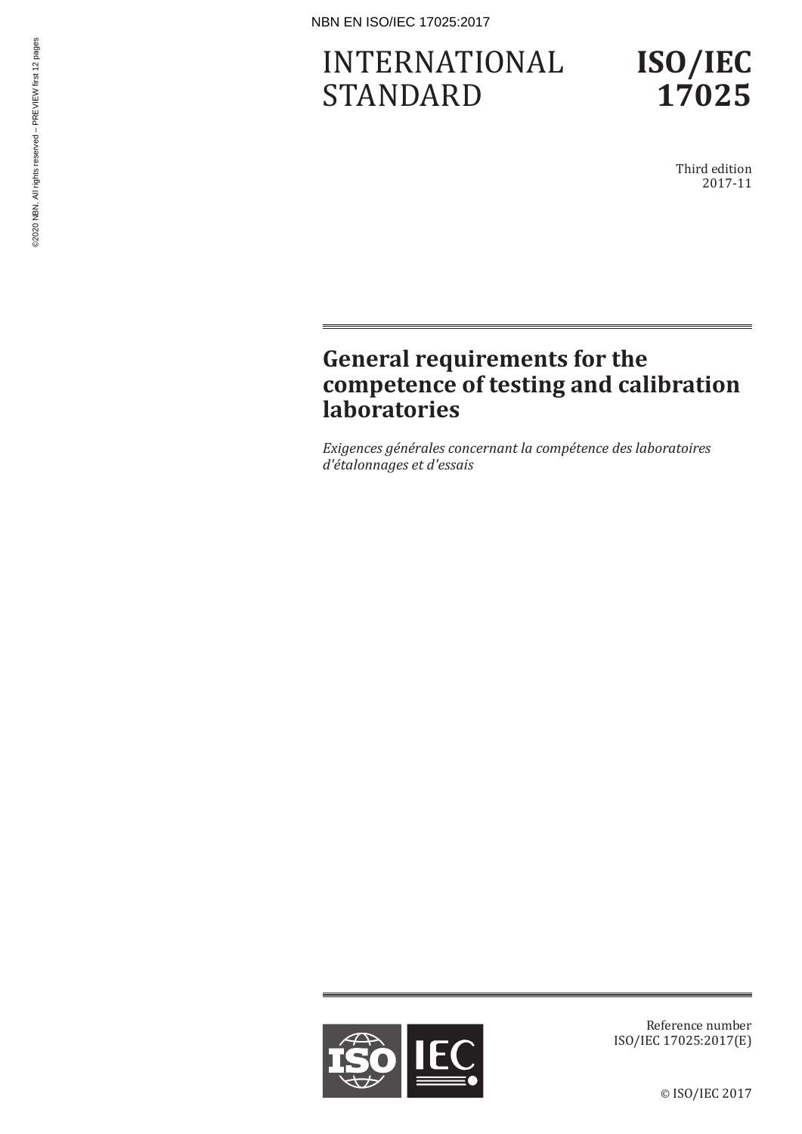# INTERNATIONAL STANDARD

**ISO/IEC 17025**

> Third edition 2017-11

## **General requirements for the competence of testing and calibration laboratories**

*Exigences générales concernant la compétence des laboratoires d'étalonnages et d'essais*



Reference number ISO/IEC 17025:2017(E)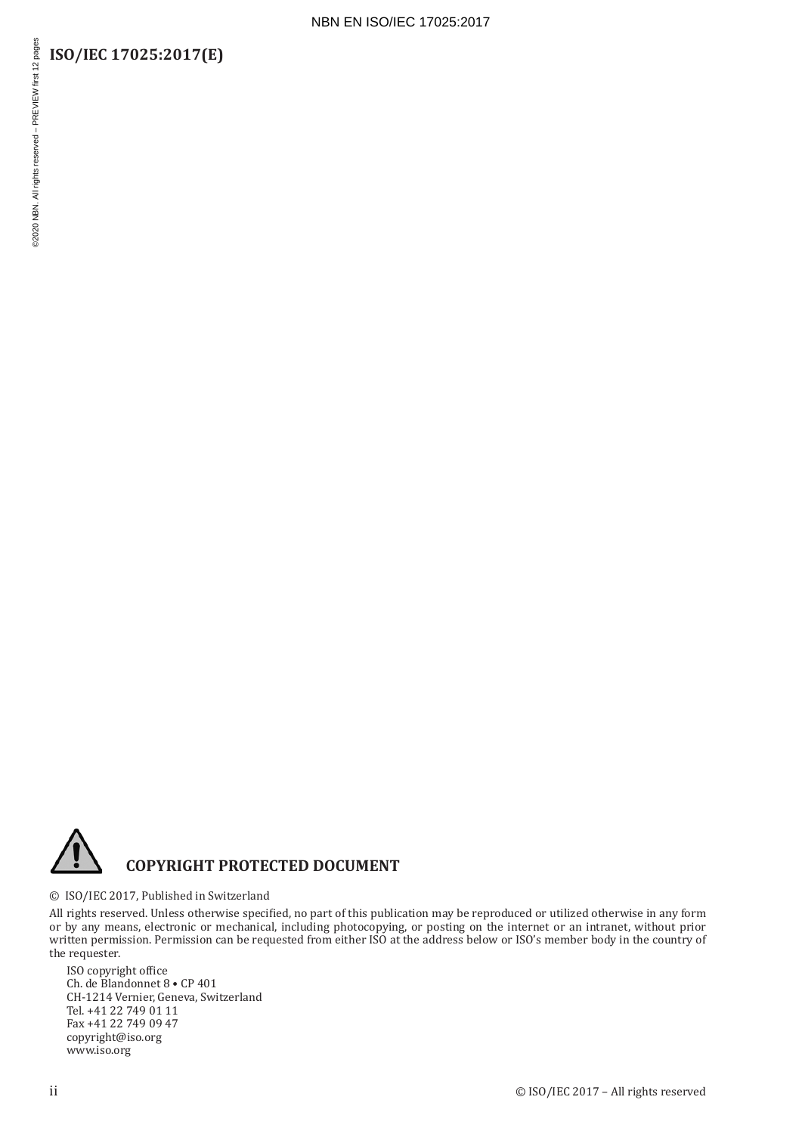#### **ISO/IEC 17025:2017(E)**



© ISO/IEC 2017, Published in Switzerland

All rights reserved. Unless otherwise specified, no part of this publication may be reproduced or utilized otherwise in any form or by any means, electronic or mechanical, including photocopying, or posting on the internet or an intranet, without prior written permission. Permission can be requested from either ISO at the address below or ISO's member body in the country of the requester.

ISO copyright office Ch. de Blandonnet 8 • CP 401 CH-1214 Vernier, Geneva, Switzerland Tel. +41 22 749 01 11 Fax +41 22 749 09 47 copyright@iso.org www.iso.org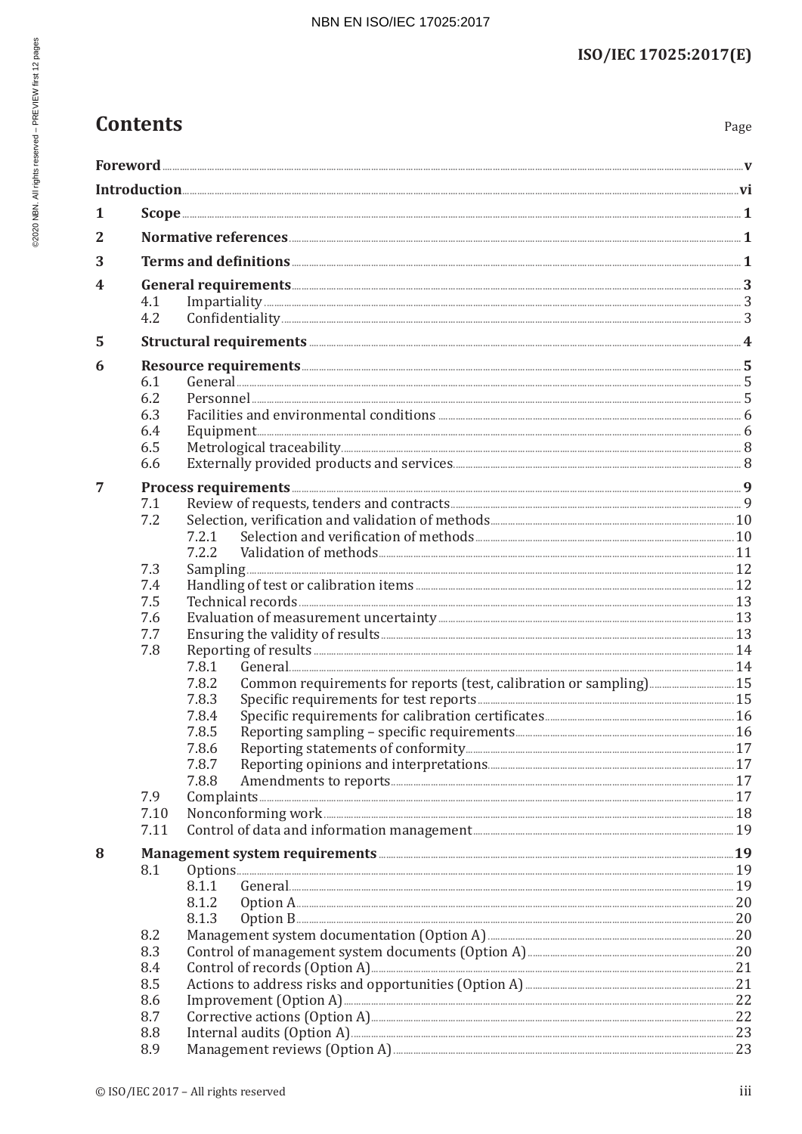## **Contents**

| ×<br>I<br>×<br>۰, |
|-------------------|
|-------------------|

|   |            | $\textbf{For} \textbf{word} \textcolor{red}{\textbf{}} \textcolor{red}{\textbf{}} \textcolor{red}{\textbf{}} \textcolor{red}{\textbf{}} \textcolor{red}{\textbf{}} \textcolor{red}{\textbf{}} \textcolor{red}{\textbf{}} \textcolor{red}{\textbf{}} \textcolor{red}{\textbf{}} \textcolor{red}{\textbf{}} \textcolor{red}{\textbf{}} \textcolor{red}{\textbf{}} \textcolor{red}{\textbf{}} \textcolor{red}{\textbf{}} \textcolor{red}{\textbf{}} \textcolor{red}{\textbf{}} \textcolor{red}{\textbf{}} \textcolor{$ |  |  |  |
|---|------------|---------------------------------------------------------------------------------------------------------------------------------------------------------------------------------------------------------------------------------------------------------------------------------------------------------------------------------------------------------------------------------------------------------------------------------------------------------------------------------------------------------------------|--|--|--|
|   |            |                                                                                                                                                                                                                                                                                                                                                                                                                                                                                                                     |  |  |  |
| 1 |            |                                                                                                                                                                                                                                                                                                                                                                                                                                                                                                                     |  |  |  |
| 2 |            |                                                                                                                                                                                                                                                                                                                                                                                                                                                                                                                     |  |  |  |
| 3 |            |                                                                                                                                                                                                                                                                                                                                                                                                                                                                                                                     |  |  |  |
|   |            |                                                                                                                                                                                                                                                                                                                                                                                                                                                                                                                     |  |  |  |
| 4 | 4.1        |                                                                                                                                                                                                                                                                                                                                                                                                                                                                                                                     |  |  |  |
|   | 4.2        |                                                                                                                                                                                                                                                                                                                                                                                                                                                                                                                     |  |  |  |
| 5 |            |                                                                                                                                                                                                                                                                                                                                                                                                                                                                                                                     |  |  |  |
| 6 |            |                                                                                                                                                                                                                                                                                                                                                                                                                                                                                                                     |  |  |  |
|   | 6.1        |                                                                                                                                                                                                                                                                                                                                                                                                                                                                                                                     |  |  |  |
|   | 6.2        | Personnel <u>2003</u> 5                                                                                                                                                                                                                                                                                                                                                                                                                                                                                             |  |  |  |
|   | 6.3        |                                                                                                                                                                                                                                                                                                                                                                                                                                                                                                                     |  |  |  |
|   | 6.4        |                                                                                                                                                                                                                                                                                                                                                                                                                                                                                                                     |  |  |  |
|   | 6.5        |                                                                                                                                                                                                                                                                                                                                                                                                                                                                                                                     |  |  |  |
|   | 6.6        |                                                                                                                                                                                                                                                                                                                                                                                                                                                                                                                     |  |  |  |
| 7 |            |                                                                                                                                                                                                                                                                                                                                                                                                                                                                                                                     |  |  |  |
|   | 7.1        |                                                                                                                                                                                                                                                                                                                                                                                                                                                                                                                     |  |  |  |
|   | 7.2        |                                                                                                                                                                                                                                                                                                                                                                                                                                                                                                                     |  |  |  |
|   |            | 7.2.1                                                                                                                                                                                                                                                                                                                                                                                                                                                                                                               |  |  |  |
|   | 7.3        |                                                                                                                                                                                                                                                                                                                                                                                                                                                                                                                     |  |  |  |
|   | 7.4        |                                                                                                                                                                                                                                                                                                                                                                                                                                                                                                                     |  |  |  |
|   | 7.5        |                                                                                                                                                                                                                                                                                                                                                                                                                                                                                                                     |  |  |  |
|   | 7.6        |                                                                                                                                                                                                                                                                                                                                                                                                                                                                                                                     |  |  |  |
|   | 7.7        | Ensuring the validity of results <b>Supplied Strategie and Strategie and Strategie and Strategie and Strategie and Strategie and Strategie and Strategie and Strategie and Strategie and Strategie and Strategie and Strategie a</b>                                                                                                                                                                                                                                                                                |  |  |  |
|   | 7.8        |                                                                                                                                                                                                                                                                                                                                                                                                                                                                                                                     |  |  |  |
|   |            | 7.8.1                                                                                                                                                                                                                                                                                                                                                                                                                                                                                                               |  |  |  |
|   |            | 7.8.2                                                                                                                                                                                                                                                                                                                                                                                                                                                                                                               |  |  |  |
|   |            | Specific requirements for test reports <b>Manual Community</b> 15<br>7.8.3                                                                                                                                                                                                                                                                                                                                                                                                                                          |  |  |  |
|   |            | 7.8.4<br>7.8.5                                                                                                                                                                                                                                                                                                                                                                                                                                                                                                      |  |  |  |
|   |            | 7.8.6                                                                                                                                                                                                                                                                                                                                                                                                                                                                                                               |  |  |  |
|   |            | 7.8.7                                                                                                                                                                                                                                                                                                                                                                                                                                                                                                               |  |  |  |
|   |            | 7.8.8                                                                                                                                                                                                                                                                                                                                                                                                                                                                                                               |  |  |  |
|   | 7.9        |                                                                                                                                                                                                                                                                                                                                                                                                                                                                                                                     |  |  |  |
|   | 7.10       |                                                                                                                                                                                                                                                                                                                                                                                                                                                                                                                     |  |  |  |
|   | 7.11       |                                                                                                                                                                                                                                                                                                                                                                                                                                                                                                                     |  |  |  |
| 8 |            | Management system requirements <b>Management</b> System 19                                                                                                                                                                                                                                                                                                                                                                                                                                                          |  |  |  |
|   | 8.1        |                                                                                                                                                                                                                                                                                                                                                                                                                                                                                                                     |  |  |  |
|   |            | 8.1.1                                                                                                                                                                                                                                                                                                                                                                                                                                                                                                               |  |  |  |
|   |            | 8.1.2                                                                                                                                                                                                                                                                                                                                                                                                                                                                                                               |  |  |  |
|   |            | 8.1.3                                                                                                                                                                                                                                                                                                                                                                                                                                                                                                               |  |  |  |
|   | 8.2<br>8.3 |                                                                                                                                                                                                                                                                                                                                                                                                                                                                                                                     |  |  |  |
|   | 8.4        |                                                                                                                                                                                                                                                                                                                                                                                                                                                                                                                     |  |  |  |
|   | 8.5        |                                                                                                                                                                                                                                                                                                                                                                                                                                                                                                                     |  |  |  |
|   | 8.6        |                                                                                                                                                                                                                                                                                                                                                                                                                                                                                                                     |  |  |  |
|   | 8.7        |                                                                                                                                                                                                                                                                                                                                                                                                                                                                                                                     |  |  |  |
|   | 8.8        |                                                                                                                                                                                                                                                                                                                                                                                                                                                                                                                     |  |  |  |
|   | 8.9        |                                                                                                                                                                                                                                                                                                                                                                                                                                                                                                                     |  |  |  |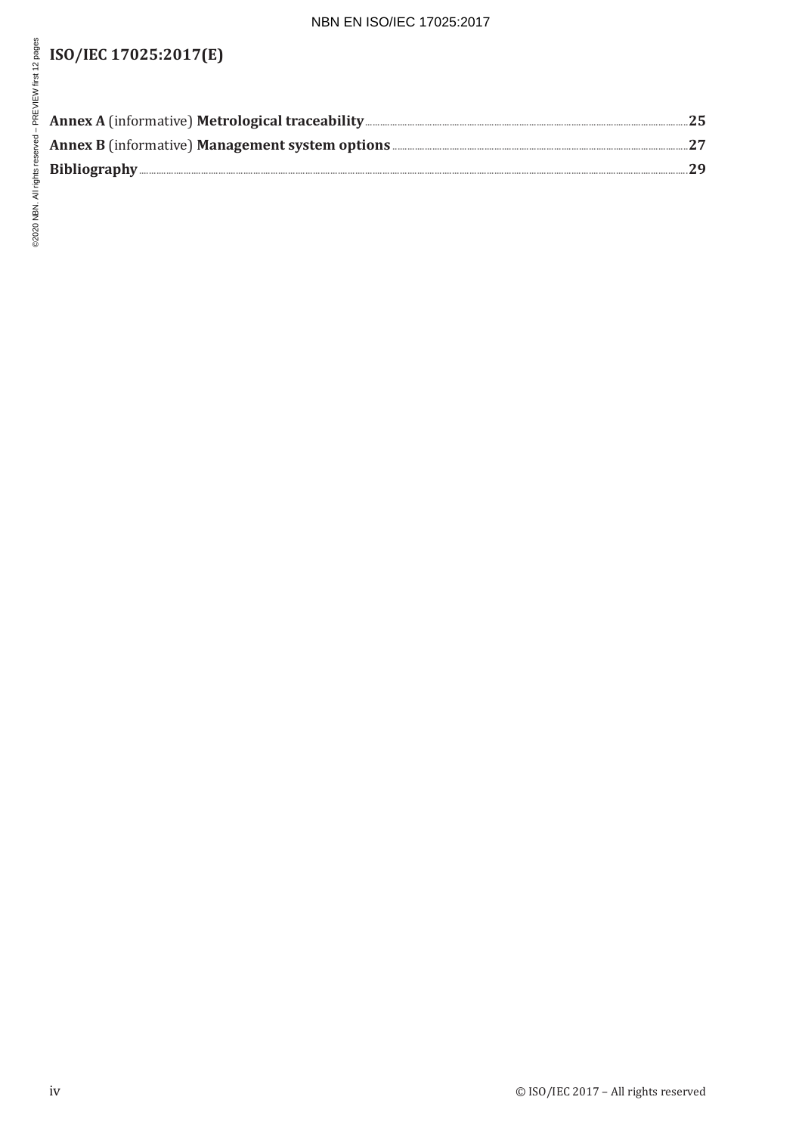## ISO/IEC 17025:2017(E)

| . 25 |
|------|
|      |
| 79   |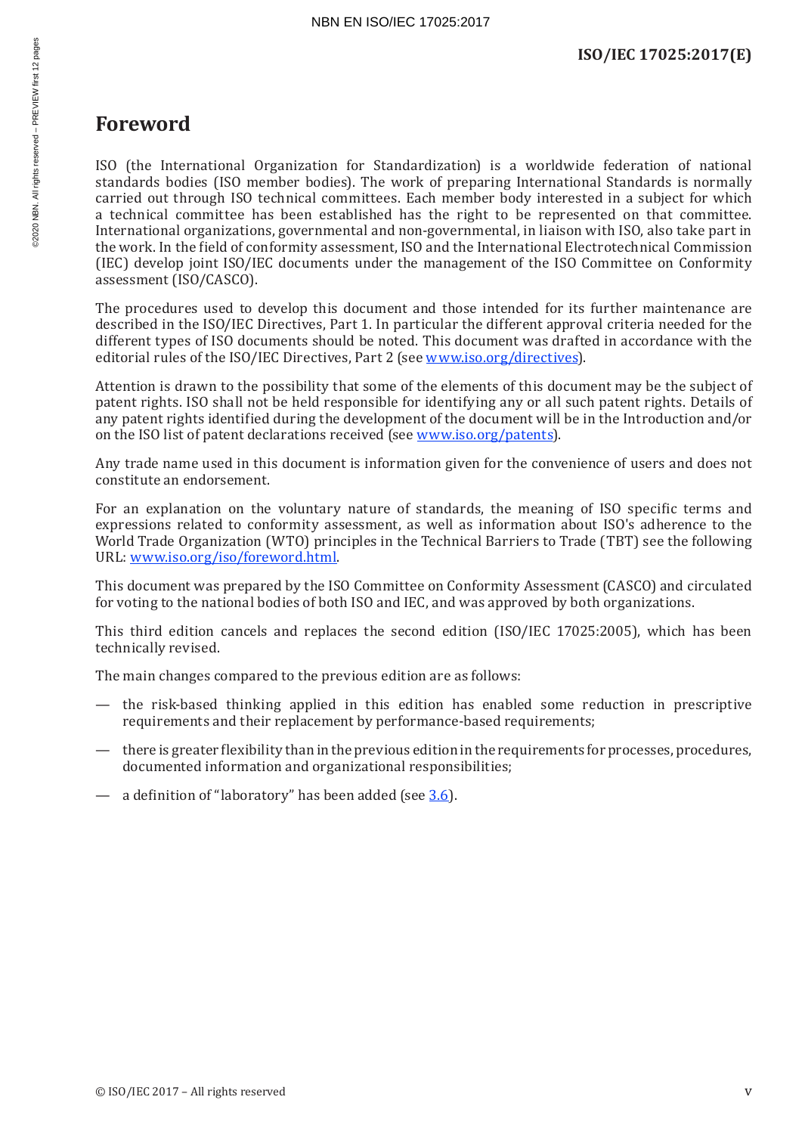### **Foreword**

ISO (the International Organization for Standardization) is a worldwide federation of national standards bodies (ISO member bodies). The work of preparing International Standards is normally carried out through ISO technical committees. Each member body interested in a subject for which a technical committee has been established has the right to be represented on that committee. International organizations, governmental and non-governmental, in liaison with ISO, also take part in the work. In the field of conformity assessment, ISO and the International Electrotechnical Commission (IEC) develop joint ISO/IEC documents under the management of the ISO Committee on Conformity assessment (ISO/CASCO).

The procedures used to develop this document and those intended for its further maintenance are described in the ISO/IEC Directives, Part 1. In particular the different approval criteria needed for the different types of ISO documents should be noted. This document was drafted in accordance with the editorial rules of the ISO/IEC Directives, Part 2 (see www.iso.org/directives).

Attention is drawn to the possibility that some of the elements of this document may be the subject of patent rights. ISO shall not be held responsible for identifying any or all such patent rights. Details of any patent rights identified during the development of the document will be in the Introduction and/or on the ISO list of patent declarations received (see www.iso.org/patents).

Any trade name used in this document is information given for the convenience of users and does not constitute an endorsement.

For an explanation on the voluntary nature of standards, the meaning of ISO specific terms and expressions related to conformity assessment, as well as information about ISO's adherence to the World Trade Organization (WTO) principles in the Technical Barriers to Trade (TBT) see the following URL: <u>www.iso.org/iso/foreword.html</u>.

This document was prepared by the ISO Committee on Conformity Assessment (CASCO) and circulated for voting to the national bodies of both ISO and IEC, and was approved by both organizations.

This third edition cancels and replaces the second edition (ISO/IEC 17025:2005), which has been technically revised.

The main changes compared to the previous edition are as follows:

- the risk-based thinking applied in this edition has enabled some reduction in prescriptive requirements and their replacement by performance-based requirements;
- there is greater flexibility than in the previous edition in the requirements for processes, procedures, documented information and organizational responsibilities;
- a definition of "laboratory" has been added (see  $3.6$ ).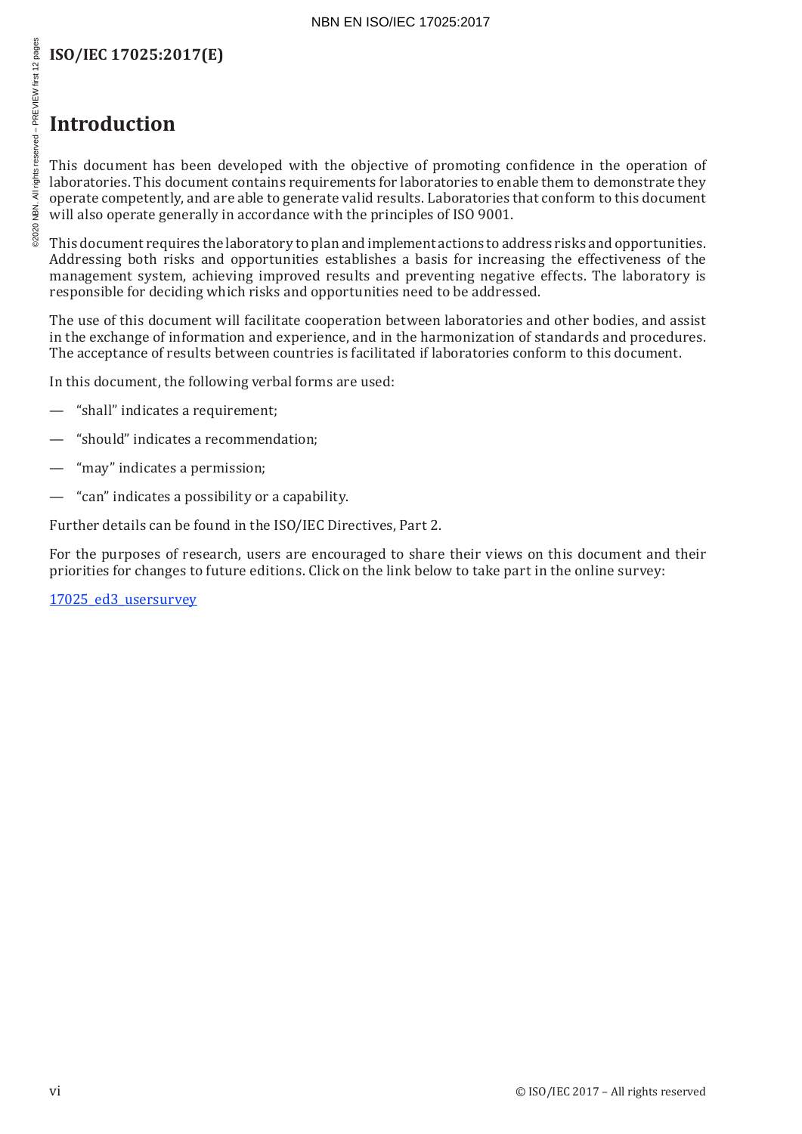## **ISO/IEC 17025:2017(E)**

## **Introduction**

This document has been developed with the objective of promoting confidence in the operation of laboratories. This document contains requirements for laboratories to enable them to demonstrate they operate competently, and are able to generate valid results. Laboratories that conform to this document will also operate generally in accordance with the principles of ISO 9001.

This document requires the laboratory to plan and implement actions to address risks and opportunities. Addressing both risks and opportunities establishes a basis for increasing the effectiveness of the management system, achieving improved results and preventing negative effects. The laboratory is responsible for deciding which risks and opportunities need to be addressed.

The use of this document will facilitate cooperation between laboratories and other bodies, and assist in the exchange of information and experience, and in the harmonization of standards and procedures. The acceptance of results between countries is facilitated if laboratories conform to this document.

In this document, the following verbal forms are used:

- "shall" indicates a requirement;
- "should" indicates a recommendation;
- "may" indicates a permission;
- "can" indicates a possibility or a capability.

Further details can be found in the ISO/IEC Directives, Part 2.

For the purposes of research, users are encouraged to share their views on this document and their priorities for changes to future editions. Click on the link below to take part in the online survey:

17025\_ed3\_usersurvey